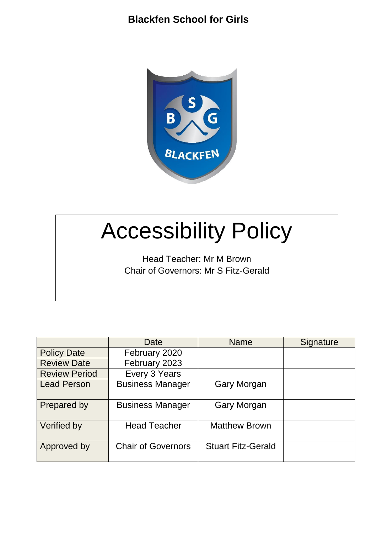

# Accessibility Policy

Head Teacher: Mr M Brown Chair of Governors: Mr S Fitz-Gerald

|                      | Date                      | <b>Name</b>               | Signature |  |
|----------------------|---------------------------|---------------------------|-----------|--|
| <b>Policy Date</b>   | February 2020             |                           |           |  |
| <b>Review Date</b>   | February 2023             |                           |           |  |
| <b>Review Period</b> | Every 3 Years             |                           |           |  |
| <b>Lead Person</b>   | <b>Business Manager</b>   | <b>Gary Morgan</b>        |           |  |
| Prepared by          | <b>Business Manager</b>   | <b>Gary Morgan</b>        |           |  |
| Verified by          | <b>Head Teacher</b>       | <b>Matthew Brown</b>      |           |  |
| Approved by          | <b>Chair of Governors</b> | <b>Stuart Fitz-Gerald</b> |           |  |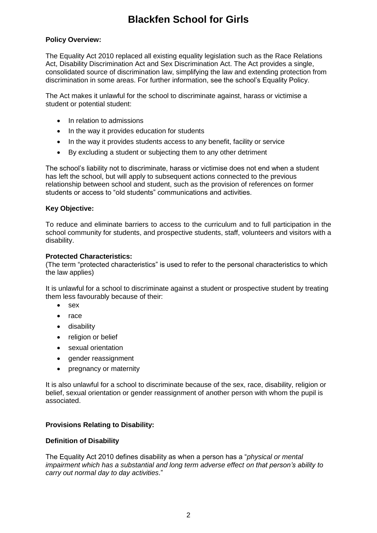#### **Policy Overview:**

The Equality Act 2010 replaced all existing equality legislation such as the Race Relations Act, Disability Discrimination Act and Sex Discrimination Act. The Act provides a single, consolidated source of discrimination law, simplifying the law and extending protection from discrimination in some areas. For further information, see the school's Equality Policy.

The Act makes it unlawful for the school to discriminate against, harass or victimise a student or potential student:

- In relation to admissions
- In the way it provides education for students
- In the way it provides students access to any benefit, facility or service
- By excluding a student or subjecting them to any other detriment

The school's liability not to discriminate, harass or victimise does not end when a student has left the school, but will apply to subsequent actions connected to the previous relationship between school and student, such as the provision of references on former students or access to "old students" communications and activities.

#### **Key Objective:**

To reduce and eliminate barriers to access to the curriculum and to full participation in the school community for students, and prospective students, staff, volunteers and visitors with a disability.

#### **Protected Characteristics:**

(The term "protected characteristics" is used to refer to the personal characteristics to which the law applies)

It is unlawful for a school to discriminate against a student or prospective student by treating them less favourably because of their:

- sex
- race
- disability
- religion or belief
- sexual orientation
- gender reassignment
- pregnancy or maternity

It is also unlawful for a school to discriminate because of the sex, race, disability, religion or belief, sexual orientation or gender reassignment of another person with whom the pupil is associated.

#### **Provisions Relating to Disability:**

#### **Definition of Disability**

The Equality Act 2010 defines disability as when a person has a "*physical or mental impairment which has a substantial and long term adverse effect on that person's ability to carry out normal day to day activities*."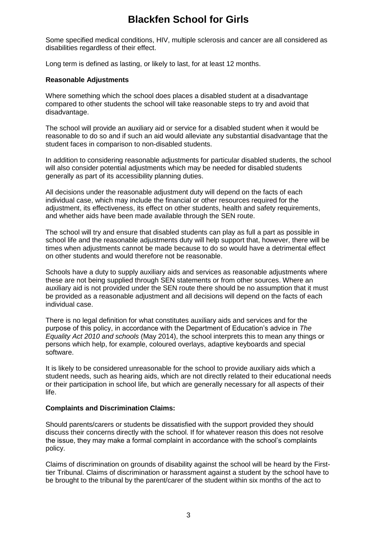Some specified medical conditions, HIV, multiple sclerosis and cancer are all considered as disabilities regardless of their effect.

Long term is defined as lasting, or likely to last, for at least 12 months.

#### **Reasonable Adjustments**

Where something which the school does places a disabled student at a disadvantage compared to other students the school will take reasonable steps to try and avoid that disadvantage.

The school will provide an auxiliary aid or service for a disabled student when it would be reasonable to do so and if such an aid would alleviate any substantial disadvantage that the student faces in comparison to non-disabled students.

In addition to considering reasonable adjustments for particular disabled students, the school will also consider potential adjustments which may be needed for disabled students generally as part of its accessibility planning duties.

All decisions under the reasonable adjustment duty will depend on the facts of each individual case, which may include the financial or other resources required for the adjustment, its effectiveness, its effect on other students, health and safety requirements, and whether aids have been made available through the SEN route.

The school will try and ensure that disabled students can play as full a part as possible in school life and the reasonable adjustments duty will help support that, however, there will be times when adjustments cannot be made because to do so would have a detrimental effect on other students and would therefore not be reasonable.

Schools have a duty to supply auxiliary aids and services as reasonable adjustments where these are not being supplied through SEN statements or from other sources. Where an auxiliary aid is not provided under the SEN route there should be no assumption that it must be provided as a reasonable adjustment and all decisions will depend on the facts of each individual case.

There is no legal definition for what constitutes auxiliary aids and services and for the purpose of this policy, in accordance with the Department of Education's advice in *The Equality Act 2010 and schools* (May 2014), the school interprets this to mean any things or persons which help, for example, coloured overlays, adaptive keyboards and special software.

It is likely to be considered unreasonable for the school to provide auxiliary aids which a student needs, such as hearing aids, which are not directly related to their educational needs or their participation in school life, but which are generally necessary for all aspects of their life.

#### **Complaints and Discrimination Claims:**

Should parents/carers or students be dissatisfied with the support provided they should discuss their concerns directly with the school. If for whatever reason this does not resolve the issue, they may make a formal complaint in accordance with the school's complaints policy.

Claims of discrimination on grounds of disability against the school will be heard by the Firsttier Tribunal. Claims of discrimination or harassment against a student by the school have to be brought to the tribunal by the parent/carer of the student within six months of the act to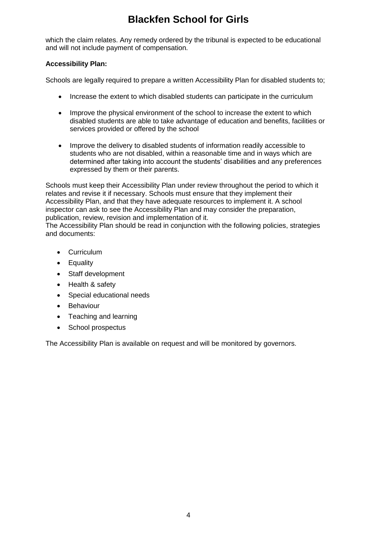which the claim relates. Any remedy ordered by the tribunal is expected to be educational and will not include payment of compensation.

#### **Accessibility Plan:**

Schools are legally required to prepare a written Accessibility Plan for disabled students to;

- Increase the extent to which disabled students can participate in the curriculum
- Improve the physical environment of the school to increase the extent to which disabled students are able to take advantage of education and benefits, facilities or services provided or offered by the school
- Improve the delivery to disabled students of information readily accessible to students who are not disabled, within a reasonable time and in ways which are determined after taking into account the students' disabilities and any preferences expressed by them or their parents.

Schools must keep their Accessibility Plan under review throughout the period to which it relates and revise it if necessary. Schools must ensure that they implement their Accessibility Plan, and that they have adequate resources to implement it. A school inspector can ask to see the Accessibility Plan and may consider the preparation, publication, review, revision and implementation of it.

The Accessibility Plan should be read in conjunction with the following policies, strategies and documents:

- Curriculum
- Equality
- Staff development
- Health & safety
- Special educational needs
- Behaviour
- Teaching and learning
- School prospectus

The Accessibility Plan is available on request and will be monitored by governors.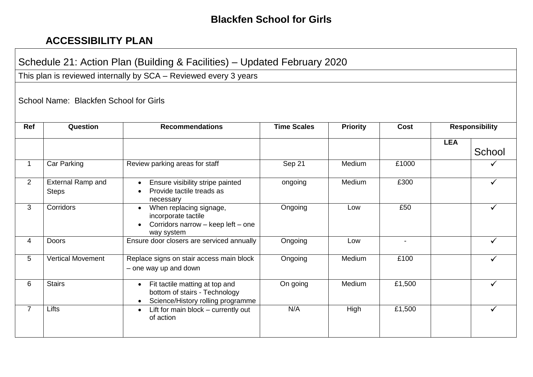### **ACCESSIBILITY PLAN**

## Schedule 21: Action Plan (Building & Facilities) – Updated February 2020

This plan is reviewed internally by SCA – Reviewed every 3 years

School Name: Blackfen School for Girls

| Ref            | Question                          | <b>Recommendations</b>                                                                                                         | <b>Time Scales</b> | <b>Priority</b> | Cost                     |            | <b>Responsibility</b> |  |
|----------------|-----------------------------------|--------------------------------------------------------------------------------------------------------------------------------|--------------------|-----------------|--------------------------|------------|-----------------------|--|
|                |                                   |                                                                                                                                |                    |                 |                          | <b>LEA</b> | School                |  |
| 1.             | Car Parking                       | Review parking areas for staff                                                                                                 | Sep 21             | Medium          | £1000                    |            |                       |  |
| $\overline{2}$ | External Ramp and<br><b>Steps</b> | Ensure visibility stripe painted<br>$\bullet$<br>Provide tactile treads as<br>necessary                                        | ongoing            | Medium          | £300                     |            | ✓                     |  |
| 3              | Corridors                         | When replacing signage,<br>$\bullet$<br>incorporate tactile<br>Corridors narrow - keep left - one<br>$\bullet$<br>way system   | Ongoing            | Low             | £50                      |            |                       |  |
| 4              | <b>Doors</b>                      | Ensure door closers are serviced annually                                                                                      | Ongoing            | Low             | $\overline{\phantom{a}}$ |            | ✓                     |  |
| 5              | <b>Vertical Movement</b>          | Replace signs on stair access main block<br>- one way up and down                                                              | Ongoing            | Medium          | £100                     |            |                       |  |
| 6              | <b>Stairs</b>                     | Fit tactile matting at top and<br>$\bullet$<br>bottom of stairs - Technology<br>Science/History rolling programme<br>$\bullet$ | On going           | Medium          | £1,500                   |            |                       |  |
| $\overline{7}$ | Lifts                             | Lift for main block - currently out<br>$\bullet$<br>of action                                                                  | N/A                | High            | £1,500                   |            |                       |  |